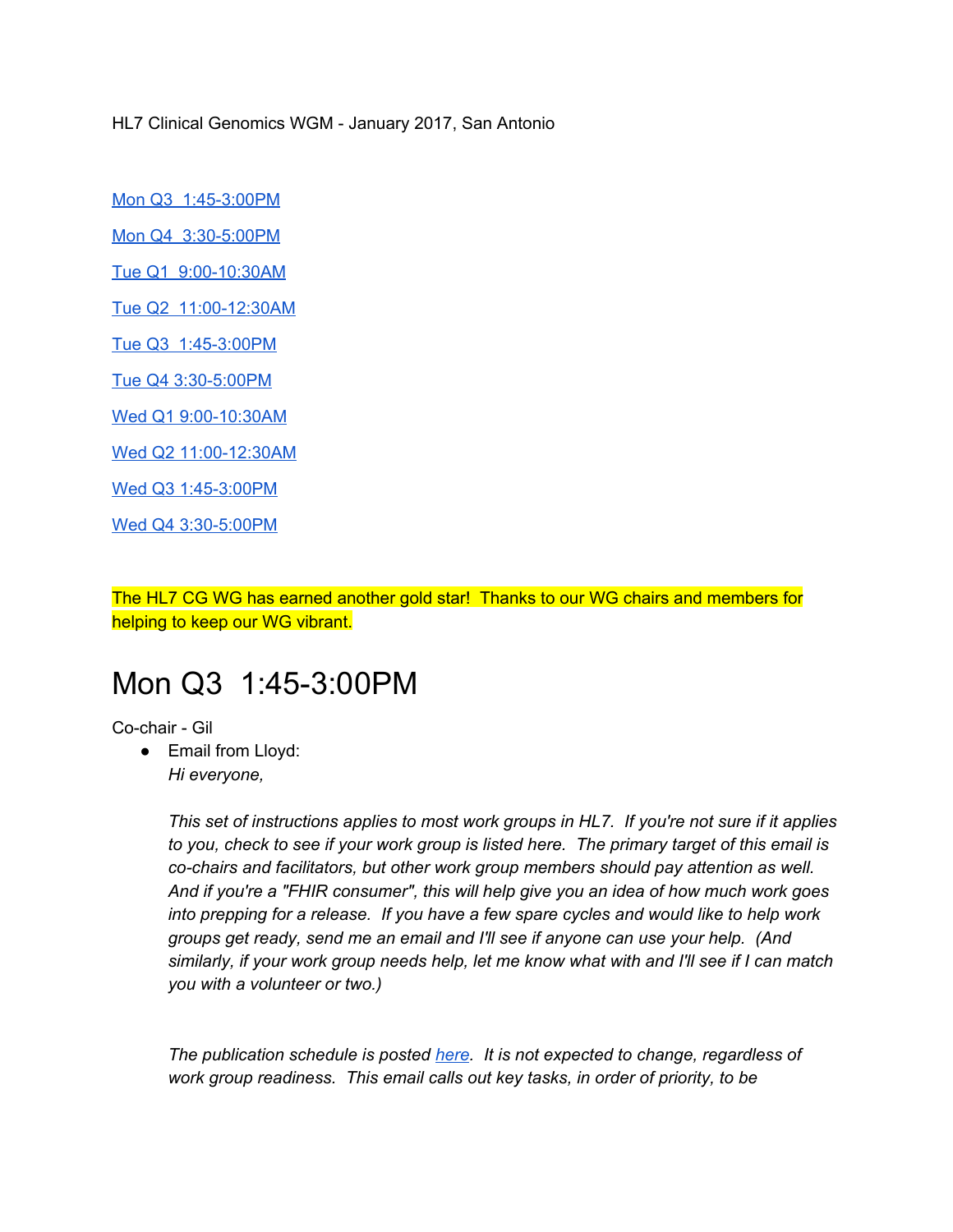HL7 Clinical Genomics WGM - January 2017, San Antonio

[Mon Q3 1:45-3:00PM](#page-0-0)

[Mon Q4 3:30-5:00PM](#page-0-0)

[Tue Q1 9:00-10:30AM](#page-0-0)

[Tue Q2 11:00-12:30AM](#page-0-0)

[Tue Q3 1:45-3:00PM](#page-0-0)

[Tue Q4 3:30-5:00PM](#page-0-0)

[Wed Q1 9:00-10:30AM](#page-0-0)

[Wed Q2 11:00-12:30AM](#page-0-0)

[Wed Q3 1:45-3:00PM](#page-0-0)

[Wed Q4 3:30-5:00PM](#page-15-0)

The HL7 CG WG has earned another gold star! Thanks to our WG chairs and members for helping to keep our WG vibrant.

### <span id="page-0-0"></span>Mon Q3 1:45-3:00PM

Co-chair - Gil

• Email from Lloyd: *Hi everyone,*

> *This set of instructions applies to most work groups in HL7. If you're not sure if it applies to you, check to see if your work group is listed here. The primary target of this email is co-chairs and facilitators, but other work group members should pay attention as well. And if you're a "FHIR consumer", this will help give you an idea of how much work goes into prepping for a release. If you have a few spare cycles and would like to help work groups get ready, send me an email and I'll see if anyone can use your help. (And similarly, if your work group needs help, let me know what with and I'll see if I can match you with a volunteer or two.)*

*The publication schedule is posted [here.](https://mail.nmdp.org/OWA/redir.aspx?C=PVfG4QXxckmQlal76l9AOnceOP74QNQIk7pdB2vquLpzcjR6s1nLMbWlCwupcSlylDBWUg9TEXM.&URL=https%3a%2f%2furldefense.proofpoint.com%2fv2%2furl%3fu%3dhttp-3A__wiki.hl7.org_index.php-3Ftitle-3DFHIR-5FBallot-5FPrep%26d%3dCwMFaQ%26c%3dC_O335FEx-vf3XHLXGN8TO1BAxpi8-UjLCbu_DQ0pZI%26r%3dryg_9rF5dRVeoA6Q9Ubodw%26m%3dPbZtxkjpLfHR6rJ5RipE-0ZejgB0sy8OgB2ie4o-TKg%26s%3dfJ4JCOh3129ls4Ida0WYjbZVh6T1zhHccXtqdkomH38%26e%3d) It is not expected to change, regardless of work group readiness. This email calls out key tasks, in order of priority, to be*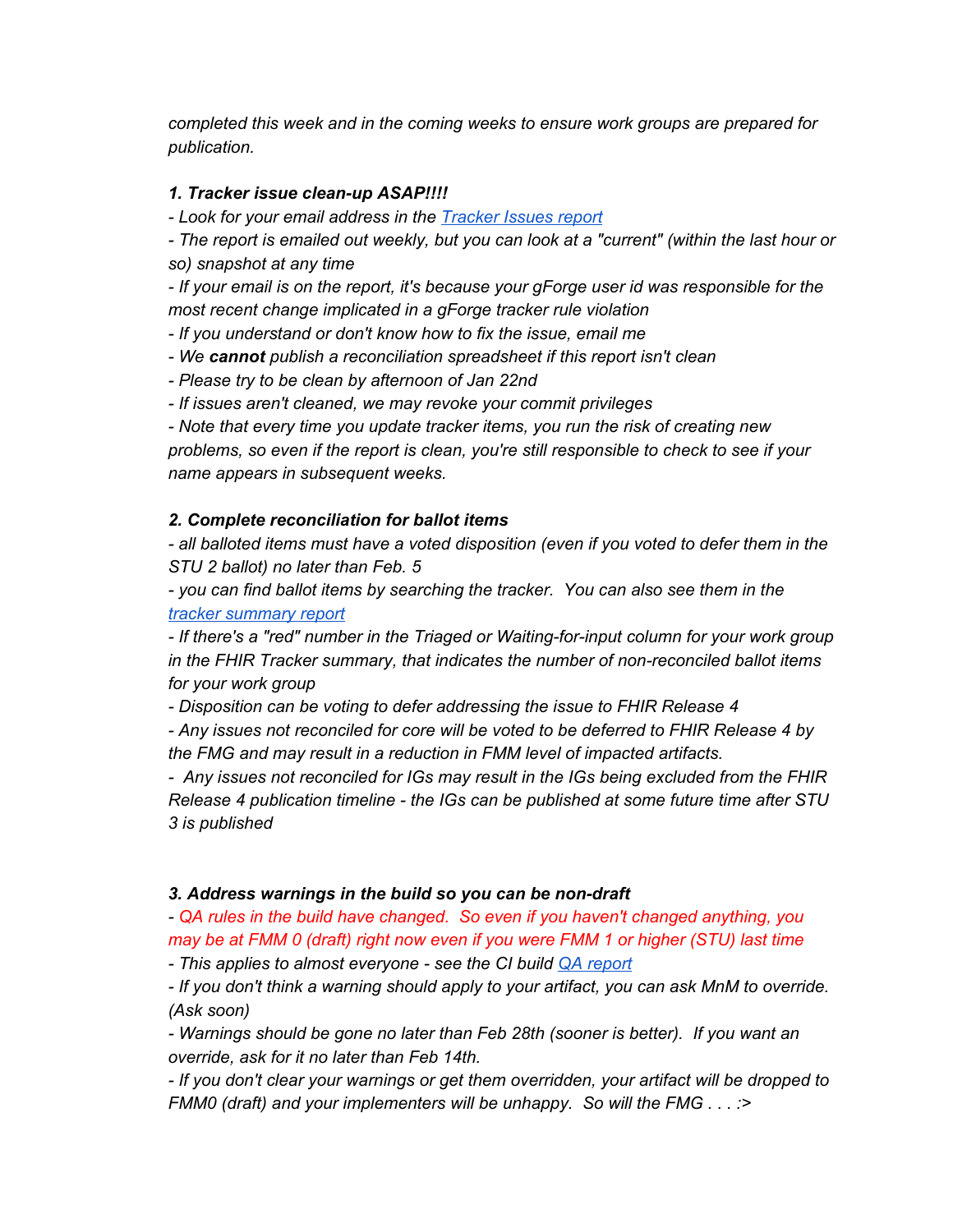*completed this week and in the coming weeks to ensure work groups are prepared for publication.*

#### *1. Tracker issue clean-up ASAP!!!!*

*- Look for your email address in the [Tracker Issues report](https://mail.nmdp.org/OWA/redir.aspx?C=PVfG4QXxckmQlal76l9AOnceOP74QNQIk7pdB2vquLpzcjR6s1nLMbWlCwupcSlylDBWUg9TEXM.&URL=https%3a%2f%2furldefense.proofpoint.com%2fv2%2furl%3fu%3dhttps-3A__docs.google.com_a_lmckenzie.com_uc-3Fid-3D0B285oCHDUr09Mzh3b09rMFhEV1E%26d%3dCwMFaQ%26c%3dC_O335FEx-vf3XHLXGN8TO1BAxpi8-UjLCbu_DQ0pZI%26r%3dryg_9rF5dRVeoA6Q9Ubodw%26m%3dPbZtxkjpLfHR6rJ5RipE-0ZejgB0sy8OgB2ie4o-TKg%26s%3druq-K5pre1WCDpsw-tUMk5ovHDTnRuIQ-cLAAb-TGFM%26e%3d)*

*- The report is emailed out weekly, but you can look at a "current" (within the last hour or so) snapshot at any time*

*- If your email is on the report, it's because your gForge user id was responsible for the most recent change implicated in a gForge tracker rule violation*

*- If you understand or don't know how to fix the issue, email me*

*- We cannot publish a reconciliation spreadsheet if this report isn't clean*

*- Please try to be clean by afternoon of Jan 22nd*

*- If issues aren't cleaned, we may revoke your commit privileges*

*- Note that every time you update tracker items, you run the risk of creating new problems, so even if the report is clean, you're still responsible to check to see if your name appears in subsequent weeks.*

### *2. Complete reconciliation for ballot items*

*- all balloted items must have a voted disposition (even if you voted to defer them in the STU 2 ballot) no later than Feb. 5*

*- you can find ballot items by searching the tracker. You can also see them in the [tracker summary report](https://mail.nmdp.org/OWA/redir.aspx?C=PVfG4QXxckmQlal76l9AOnceOP74QNQIk7pdB2vquLpzcjR6s1nLMbWlCwupcSlylDBWUg9TEXM.&URL=https%3a%2f%2furldefense.proofpoint.com%2fv2%2furl%3fu%3dhttps-3A__docs.google.com_a_lmckenzie.com_uc-3Fid-3D0B285oCHDUr09Mk5lZWNncm80am8%26d%3dCwMFaQ%26c%3dC_O335FEx-vf3XHLXGN8TO1BAxpi8-UjLCbu_DQ0pZI%26r%3dryg_9rF5dRVeoA6Q9Ubodw%26m%3dPbZtxkjpLfHR6rJ5RipE-0ZejgB0sy8OgB2ie4o-TKg%26s%3drb07m76i9oPZURIGXLISZlqa8k8bhBT15Em_QPJDQL4%26e%3d)*

*- If there's a "red" number in the Triaged or Waiting-for-input column for your work group in the FHIR Tracker summary, that indicates the number of non-reconciled ballot items for your work group*

*- Disposition can be voting to defer addressing the issue to FHIR Release 4*

*- Any issues not reconciled for core will be voted to be deferred to FHIR Release 4 by the FMG and may result in a reduction in FMM level of impacted artifacts.*

*- Any issues not reconciled for IGs may result in the IGs being excluded from the FHIR Release 4 publication timeline - the IGs can be published at some future time after STU 3 is published*

#### *3. Address warnings in the build so you can be non-draft*

*- QA rules in the build have changed. So even if you haven't changed anything, you may be at FMM 0 (draft) right now even if you were FMM 1 or higher (STU) last time*

*- This applies to almost everyone - see the CI build [QA report](https://mail.nmdp.org/OWA/redir.aspx?C=PVfG4QXxckmQlal76l9AOnceOP74QNQIk7pdB2vquLpzcjR6s1nLMbWlCwupcSlylDBWUg9TEXM.&URL=https%3a%2f%2furldefense.proofpoint.com%2fv2%2furl%3fu%3dhttp-3A__build.fhir.org_qa.html%26d%3dCwMFaQ%26c%3dC_O335FEx-vf3XHLXGN8TO1BAxpi8-UjLCbu_DQ0pZI%26r%3dryg_9rF5dRVeoA6Q9Ubodw%26m%3dPbZtxkjpLfHR6rJ5RipE-0ZejgB0sy8OgB2ie4o-TKg%26s%3dUd-c3ciIUZsB_VKnY5ziQtTOkwbpNN5QXh3jWwnwe4I%26e%3d)*

*- If you don't think a warning should apply to your artifact, you can ask MnM to override. (Ask soon)*

*- Warnings should be gone no later than Feb 28th (sooner is better). If you want an override, ask for it no later than Feb 14th.*

*- If you don't clear your warnings or get them overridden, your artifact will be dropped to FMM0 (draft) and your implementers will be unhappy. So will the FMG . . . :>*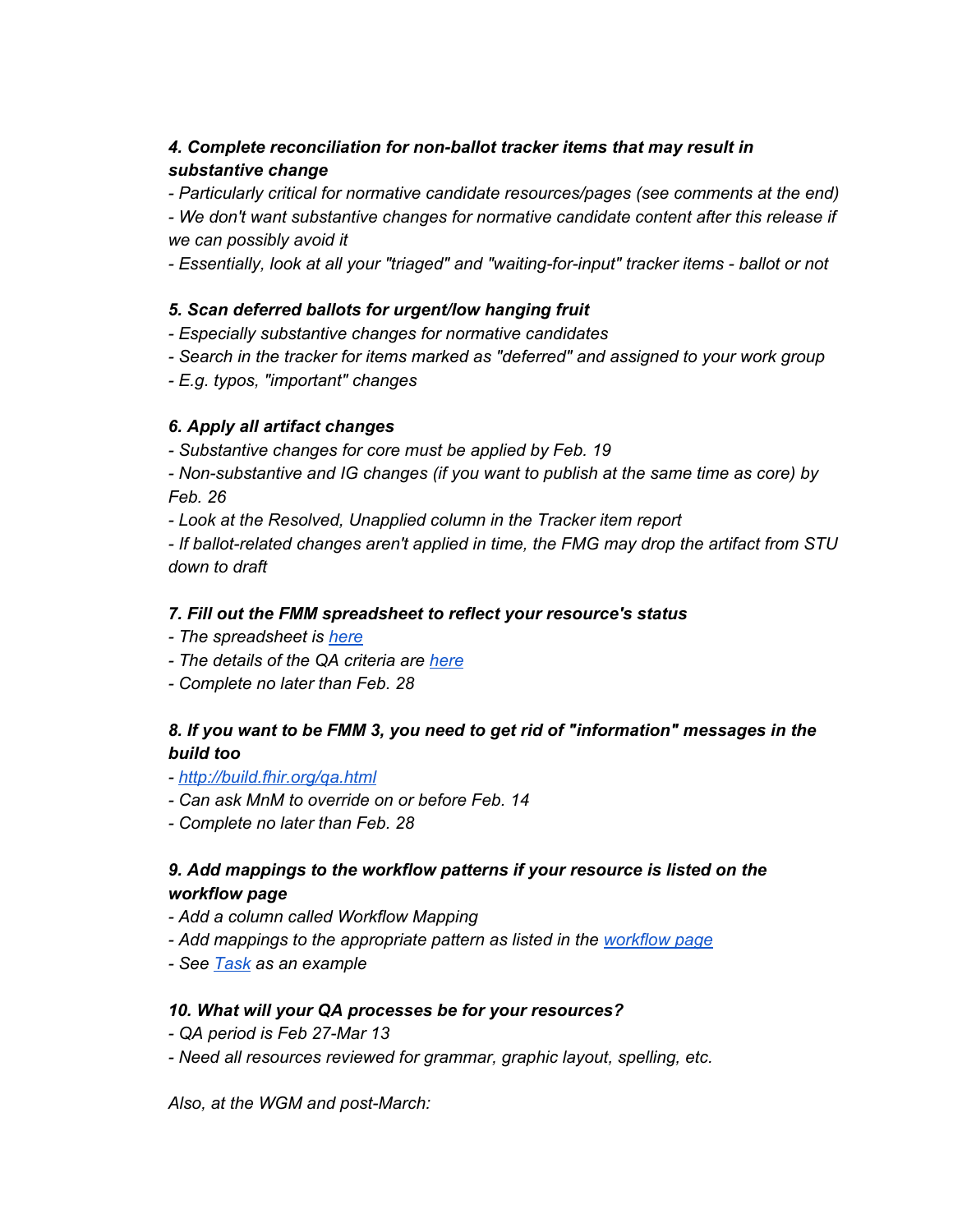### *4. Complete reconciliation for non-ballot tracker items that may result in substantive change*

*- Particularly critical for normative candidate resources/pages (see comments at the end)*

*- We don't want substantive changes for normative candidate content after this release if we can possibly avoid it*

*- Essentially, look at all your "triaged" and "waiting-for-input" tracker items - ballot or not*

### *5. Scan deferred ballots for urgent/low hanging fruit*

*- Especially substantive changes for normative candidates*

- *Search in the tracker for items marked as "deferred" and assigned to your work group*
- *E.g. typos, "important" changes*

### *6. Apply all artifact changes*

*- Substantive changes for core must be applied by Feb. 19*

*- Non-substantive and IG changes (if you want to publish at the same time as core) by Feb. 26*

*- Look at the Resolved, Unapplied column in the Tracker item report*

*- If ballot-related changes aren't applied in time, the FMG may drop the artifact from STU down to draft*

### *7. Fill out the FMM spreadsheet to reflect your resource's status*

- *The spreadsheet is [here](https://mail.nmdp.org/OWA/redir.aspx?C=PVfG4QXxckmQlal76l9AOnceOP74QNQIk7pdB2vquLpzcjR6s1nLMbWlCwupcSlylDBWUg9TEXM.&URL=https%3a%2f%2furldefense.proofpoint.com%2fv2%2furl%3fu%3dhttps-3A__docs.google.com_a_lmckenzie.com_spreadsheets_d_18HfXF7mUCUV7jACCG0oejFp6D-2DibtvbmcgywNhn76lw%26d%3dCwMFaQ%26c%3dC_O335FEx-vf3XHLXGN8TO1BAxpi8-UjLCbu_DQ0pZI%26r%3dryg_9rF5dRVeoA6Q9Ubodw%26m%3dPbZtxkjpLfHR6rJ5RipE-0ZejgB0sy8OgB2ie4o-TKg%26s%3difhPfiCbs9dhc9wPcAX_crY52UnezPnfKWlx21KdR-w%26e%3d)*
- *The details of the QA criteria are [here](https://mail.nmdp.org/OWA/redir.aspx?C=PVfG4QXxckmQlal76l9AOnceOP74QNQIk7pdB2vquLpzcjR6s1nLMbWlCwupcSlylDBWUg9TEXM.&URL=https%3a%2f%2furldefense.proofpoint.com%2fv2%2furl%3fu%3dhttp-3A__wiki.hl7.org_index.php-3Ftitle-3DDSTU-5FQA-5FGuidelines%26d%3dCwMFaQ%26c%3dC_O335FEx-vf3XHLXGN8TO1BAxpi8-UjLCbu_DQ0pZI%26r%3dryg_9rF5dRVeoA6Q9Ubodw%26m%3dPbZtxkjpLfHR6rJ5RipE-0ZejgB0sy8OgB2ie4o-TKg%26s%3d51BpWcgbHZ-KGHjT4gQKxcDAyidnPeCw6uRlb6c-PDw%26e%3d)*
- *Complete no later than Feb. 28*

### *8. If you want to be FMM 3, you need to get rid of "information" messages in the build too*

*- [http://build.fhir.org/qa.html](https://mail.nmdp.org/OWA/redir.aspx?C=PVfG4QXxckmQlal76l9AOnceOP74QNQIk7pdB2vquLpzcjR6s1nLMbWlCwupcSlylDBWUg9TEXM.&URL=https%3a%2f%2furldefense.proofpoint.com%2fv2%2furl%3fu%3dhttp-3A__build.fhir.org_qa.html%26d%3dCwMFaQ%26c%3dC_O335FEx-vf3XHLXGN8TO1BAxpi8-UjLCbu_DQ0pZI%26r%3dryg_9rF5dRVeoA6Q9Ubodw%26m%3dPbZtxkjpLfHR6rJ5RipE-0ZejgB0sy8OgB2ie4o-TKg%26s%3dUd-c3ciIUZsB_VKnY5ziQtTOkwbpNN5QXh3jWwnwe4I%26e%3d)*

- *Can ask MnM to override on or before Feb. 14*
- *Complete no later than Feb. 28*

### *9. Add mappings to the workflow patterns if your resource is listed on the workflow page*

- *Add a column called Workflow Mapping*
- *Add mappings to the appropriate pattern as listed in the [workflow](https://mail.nmdp.org/OWA/redir.aspx?C=PVfG4QXxckmQlal76l9AOnceOP74QNQIk7pdB2vquLpzcjR6s1nLMbWlCwupcSlylDBWUg9TEXM.&URL=https%3a%2f%2furldefense.proofpoint.com%2fv2%2furl%3fu%3dhttp-3A__build.fhir.org_workflow.html-23list%26d%3dCwMFaQ%26c%3dC_O335FEx-vf3XHLXGN8TO1BAxpi8-UjLCbu_DQ0pZI%26r%3dryg_9rF5dRVeoA6Q9Ubodw%26m%3dPbZtxkjpLfHR6rJ5RipE-0ZejgB0sy8OgB2ie4o-TKg%26s%3d62eKj-lGCiMpfXTkaAWCSNc491CgsOHRaLybKakYquw%26e%3d) page*
- *See [Task](https://mail.nmdp.org/OWA/redir.aspx?C=PVfG4QXxckmQlal76l9AOnceOP74QNQIk7pdB2vquLpzcjR6s1nLMbWlCwupcSlylDBWUg9TEXM.&URL=https%3a%2f%2furldefense.proofpoint.com%2fv2%2furl%3fu%3dhttp-3A__build.fhir.org_task-2Dmappings.html-23workflow%26d%3dCwMFaQ%26c%3dC_O335FEx-vf3XHLXGN8TO1BAxpi8-UjLCbu_DQ0pZI%26r%3dryg_9rF5dRVeoA6Q9Ubodw%26m%3dPbZtxkjpLfHR6rJ5RipE-0ZejgB0sy8OgB2ie4o-TKg%26s%3d5CF853azuN-vlc4p-DvwgNceA3_C03UoLlZCfiiNcGU%26e%3d) as an example*

#### *10. What will your QA processes be for your resources?*

- *QA period is Feb 27-Mar 13*
- *Need all resources reviewed for grammar, graphic layout, spelling, etc.*

*Also, at the WGM and post-March:*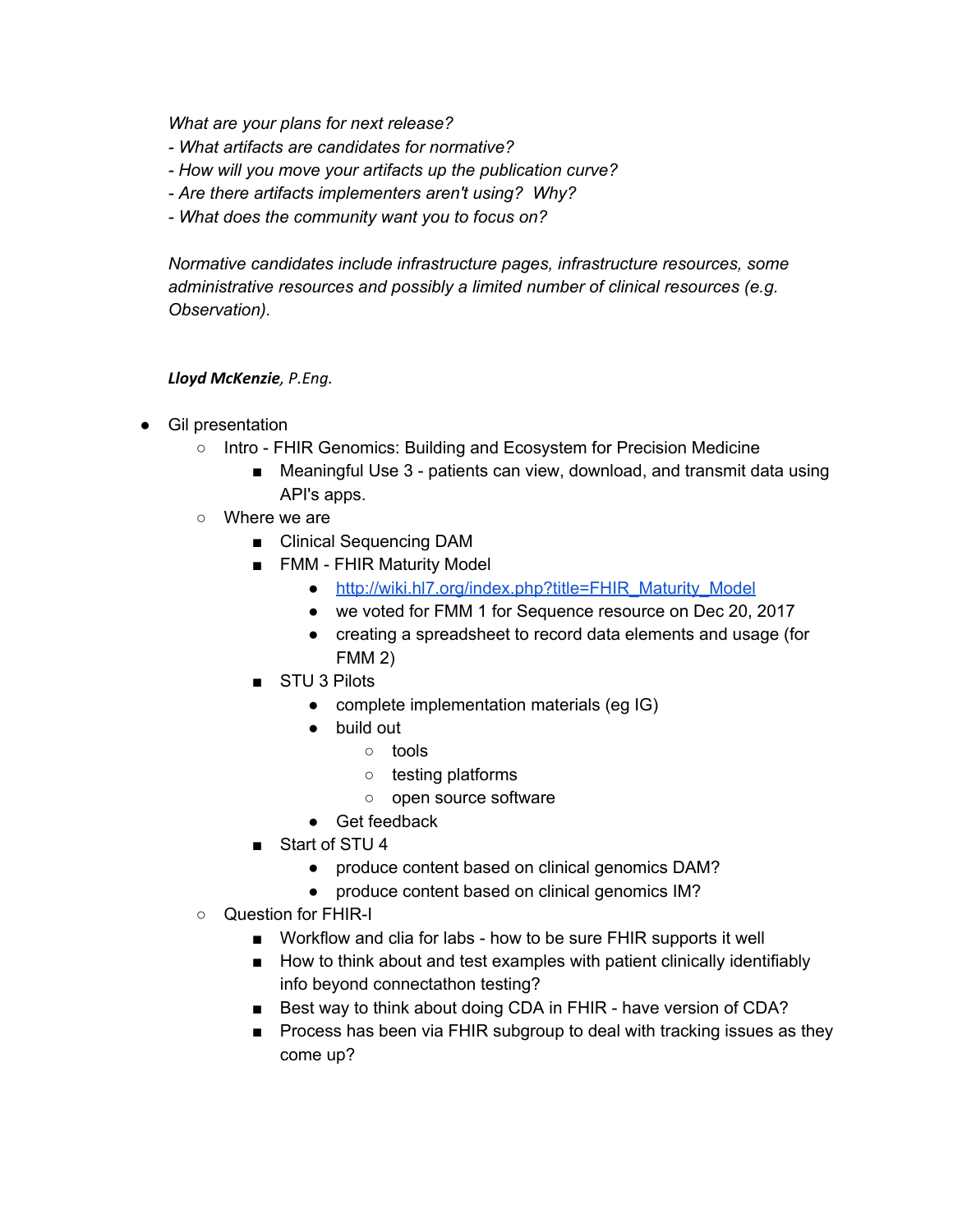*What are your plans for next release?*

- *What artifacts are candidates for normative?*
- *How will you move your artifacts up the publication curve?*
- *Are there artifacts implementers aren't using? Why?*
- *What does the community want you to focus on?*

*Normative candidates include infrastructure pages, infrastructure resources, some administrative resources and possibly a limited number of clinical resources (e.g. Observation).*

#### *Lloyd McKenzie, P.Eng.*

- Gil presentation
	- Intro FHIR Genomics: Building and Ecosystem for Precision Medicine
		- Meaningful Use 3 patients can view, download, and transmit data using API's apps.
	- Where we are
		- Clinical Sequencing DAM
		- FMM FHIR Maturity Model
			- [http://wiki.hl7.org/index.php?title=FHIR\\_Maturity\\_Model](http://wiki.hl7.org/index.php?title=FHIR_Maturity_Model)
			- we voted for FMM 1 for Sequence resource on Dec 20, 2017
			- creating a spreadsheet to record data elements and usage (for FMM 2)
		- STU 3 Pilots
			- complete implementation materials (eg IG)
			- build out
				- tools
				- testing platforms
				- open source software
			- Get feedback
		- Start of STU 4
			- produce content based on clinical genomics DAM?
			- produce content based on clinical genomics IM?
	- Question for FHIR-I
		- Workflow and clia for labs how to be sure FHIR supports it well
		- How to think about and test examples with patient clinically identifiably info beyond connectathon testing?
		- Best way to think about doing CDA in FHIR have version of CDA?
		- Process has been via FHIR subgroup to deal with tracking issues as they come up?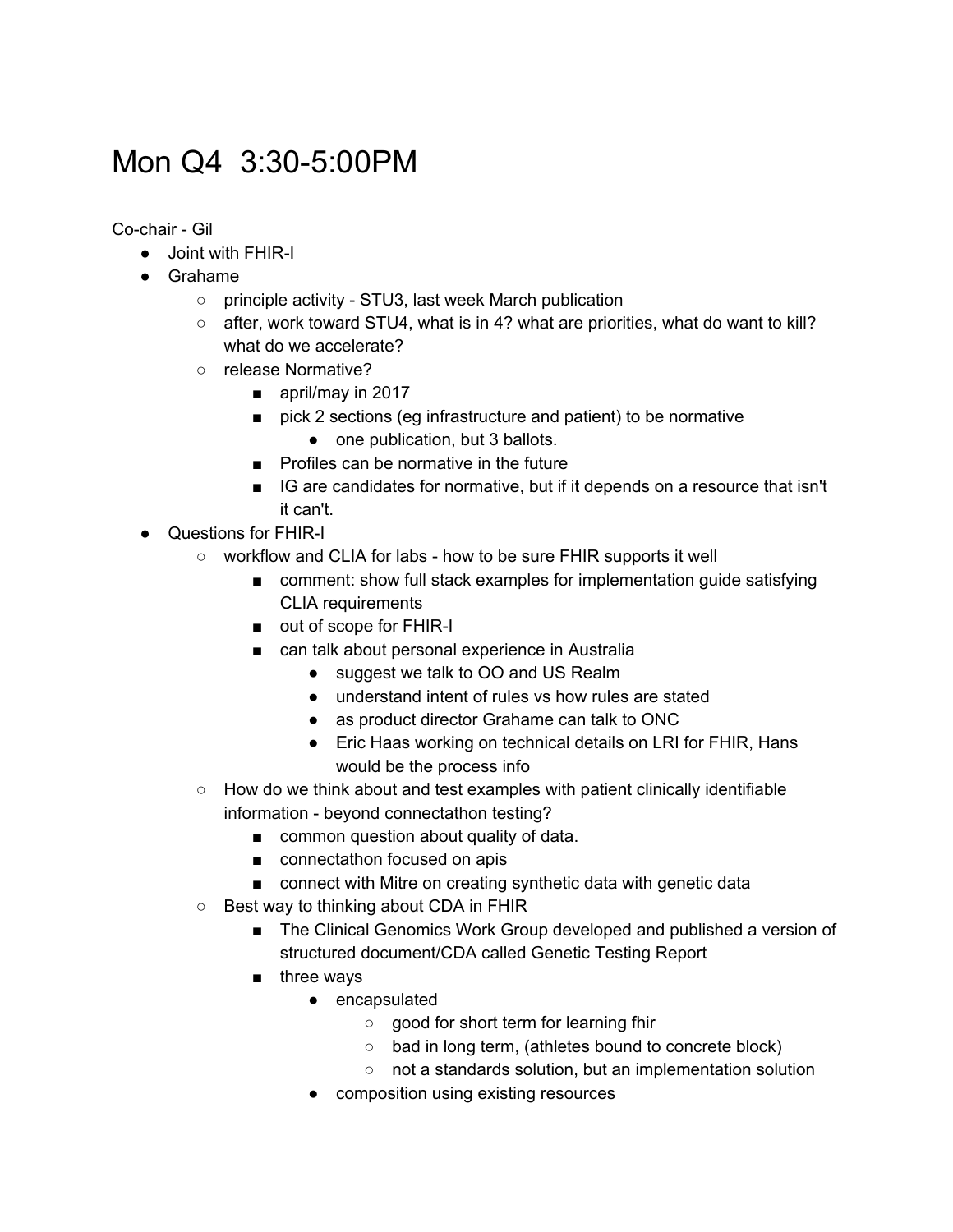# Mon Q4 3:30-5:00PM

Co-chair - Gil

- Joint with FHIR-I
- Grahame
	- principle activity STU3, last week March publication
	- $\circ$  after, work toward STU4, what is in 4? what are priorities, what do want to kill? what do we accelerate?
	- release Normative?
		- april/may in 2017
		- pick 2 sections (eg infrastructure and patient) to be normative
			- one publication, but 3 ballots.
		- Profiles can be normative in the future
		- IG are candidates for normative, but if it depends on a resource that isn't it can't.
- Questions for FHIR-I
	- workflow and CLIA for labs how to be sure FHIR supports it well
		- comment: show full stack examples for implementation guide satisfying CLIA requirements
		- out of scope for FHIR-I
		- can talk about personal experience in Australia
			- suggest we talk to OO and US Realm
			- understand intent of rules vs how rules are stated
			- as product director Grahame can talk to ONC
			- Eric Haas working on technical details on LRI for FHIR, Hans would be the process info
	- $\circ$  How do we think about and test examples with patient clinically identifiable information - beyond connectathon testing?
		- common question about quality of data.
		- connectathon focused on apis
		- connect with Mitre on creating synthetic data with genetic data
	- Best way to thinking about CDA in FHIR
		- The Clinical Genomics Work Group developed and published a version of structured document/CDA called Genetic Testing Report
		- three ways
			- encapsulated
				- good for short term for learning fhir
				- bad in long term, (athletes bound to concrete block)
				- not a standards solution, but an implementation solution
			- composition using existing resources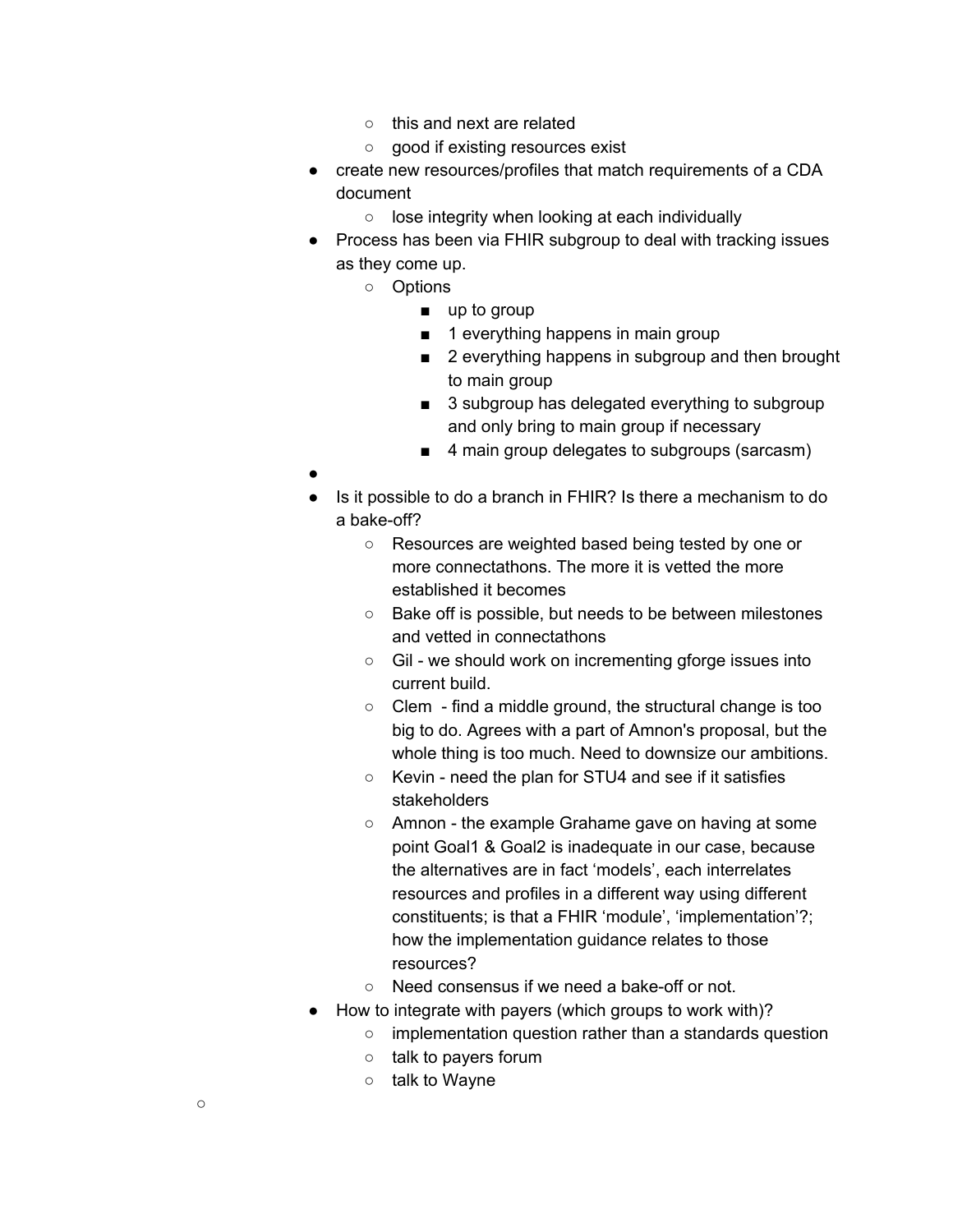- this and next are related
- good if existing resources exist
- create new resources/profiles that match requirements of a CDA document
	- lose integrity when looking at each individually
- Process has been via FHIR subgroup to deal with tracking issues as they come up.
	- Options
		- up to group
		- 1 everything happens in main group
		- 2 everything happens in subgroup and then brought to main group
		- 3 subgroup has delegated everything to subgroup and only bring to main group if necessary
		- 4 main group delegates to subgroups (sarcasm)
- ●
- Is it possible to do a branch in FHIR? Is there a mechanism to do a bake-off?
	- Resources are weighted based being tested by one or more connectathons. The more it is vetted the more established it becomes
	- Bake off is possible, but needs to be between milestones and vetted in connectathons
	- Gil we should work on incrementing gforge issues into current build.
	- Clem find a middle ground, the structural change is too big to do. Agrees with a part of Amnon's proposal, but the whole thing is too much. Need to downsize our ambitions.
	- Kevin need the plan for STU4 and see if it satisfies stakeholders
	- Amnon the example Grahame gave on having at some point Goal1 & Goal2 is inadequate in our case, because the alternatives are in fact 'models', each interrelates resources and profiles in a different way using different constituents; is that a FHIR 'module', 'implementation'?; how the implementation guidance relates to those resources?
	- Need consensus if we need a bake-off or not.
- How to integrate with payers (which groups to work with)?
	- implementation question rather than a standards question
	- talk to payers forum
	- talk to Wayne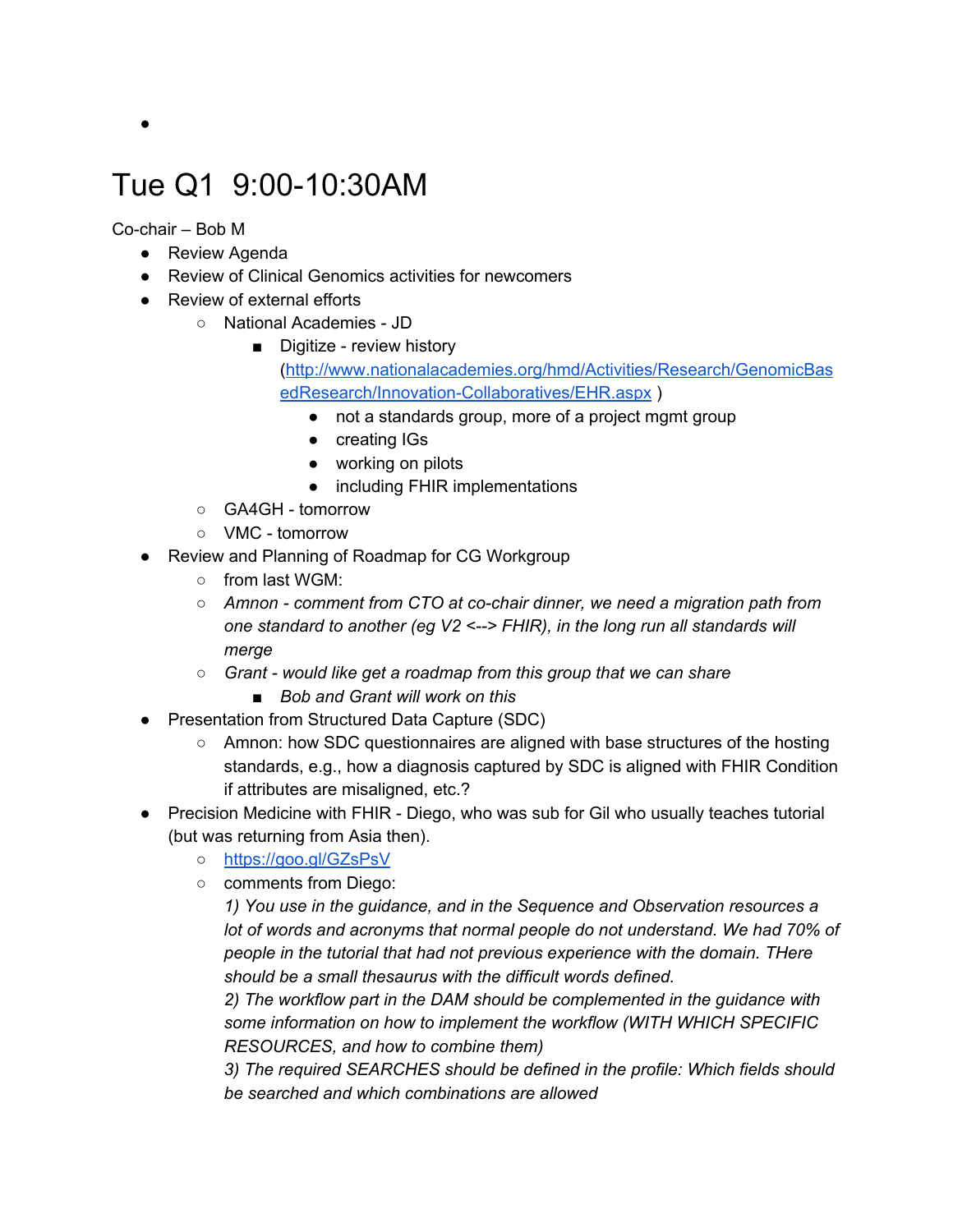# Tue Q1 9:00-10:30AM

Co-chair – Bob M

- Review Agenda
- Review of Clinical Genomics activities for newcomers
- Review of external efforts
	- National Academies JD
		- Digitize review history [\(http://www.nationalacademies.org/hmd/Activities/Research/GenomicBas](http://www.nationalacademies.org/hmd/Activities/Research/GenomicBasedResearch/Innovation-Collaboratives/EHR.aspx) [edResearch/Innovation-Collaboratives/EHR.aspx](http://www.nationalacademies.org/hmd/Activities/Research/GenomicBasedResearch/Innovation-Collaboratives/EHR.aspx) )
			- not a standards group, more of a project mgmt group
			- creating IGs
			- working on pilots
			- including FHIR implementations
	- GA4GH tomorrow
	- VMC tomorrow
- Review and Planning of Roadmap for CG Workgroup
	- from last WGM:
	- *○ Amnon comment from CTO at co-chair dinner, we need a migration path from one standard to another (eg V2 <--> FHIR), in the long run all standards will merge*
	- *○ Grant would like get a roadmap from this group that we can share*
		- *■ Bob and Grant will work on this*
- Presentation from Structured Data Capture (SDC)
	- Amnon: how SDC questionnaires are aligned with base structures of the hosting standards, e.g., how a diagnosis captured by SDC is aligned with FHIR Condition if attributes are misaligned, etc.?
- Precision Medicine with FHIR Diego, who was sub for Gil who usually teaches tutorial (but was returning from Asia then).
	- <https://goo.gl/GZsPsV>
	- comments from Diego:

*1) You use in the guidance, and in the Sequence and Observation resources a lot of words and acronyms that normal people do not understand. We had 70% of people in the tutorial that had not previous experience with the domain. THere should be a small thesaurus with the difficult words defined.*

*2) The workflow part in the DAM should be complemented in the guidance with some information on how to implement the workflow (WITH WHICH SPECIFIC RESOURCES, and how to combine them)*

*3) The required SEARCHES should be defined in the profile: Which fields should be searched and which combinations are allowed*

 $\bullet$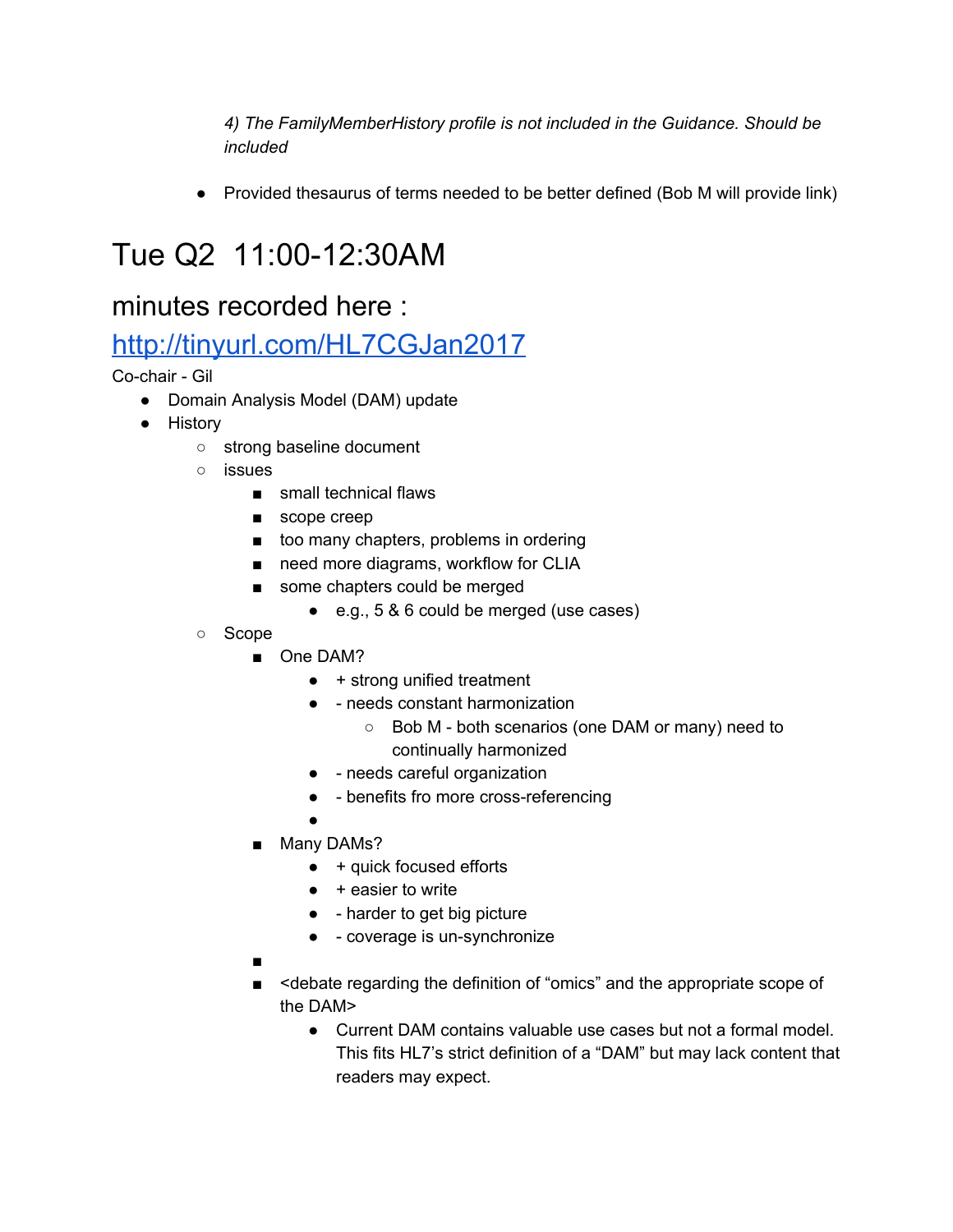*4) The FamilyMemberHistory profile is not included in the Guidance. Should be included*

● Provided thesaurus of terms needed to be better defined (Bob M will provide link)

# Tue Q2 11:00-12:30AM

### minutes recorded here :

### <http://tinyurl.com/HL7CGJan2017>

Co-chair - Gil

- Domain Analysis Model (DAM) update
- History
	- strong baseline document
	- issues
		- small technical flaws
		- scope creep
		- too many chapters, problems in ordering
		- need more diagrams, workflow for CLIA
		- some chapters could be merged
			- e.g., 5 & 6 could be merged (use cases)
	- Scope
		- One DAM?
			- + strong unified treatment
			- - needs constant harmonization
				- Bob M both scenarios (one DAM or many) need to continually harmonized
			- - needs careful organization
			- - benefits fro more cross-referencing
		- ■ Many DAMs?
			- $\bullet$  + quick focused efforts
			- $\bullet$  + easier to write
			- - harder to get big picture
			- - coverage is un-synchronize

■

- <debate regarding the definition of "omics" and the appropriate scope of the DAM>
	- Current DAM contains valuable use cases but not a formal model. This fits HL7's strict definition of a "DAM" but may lack content that readers may expect.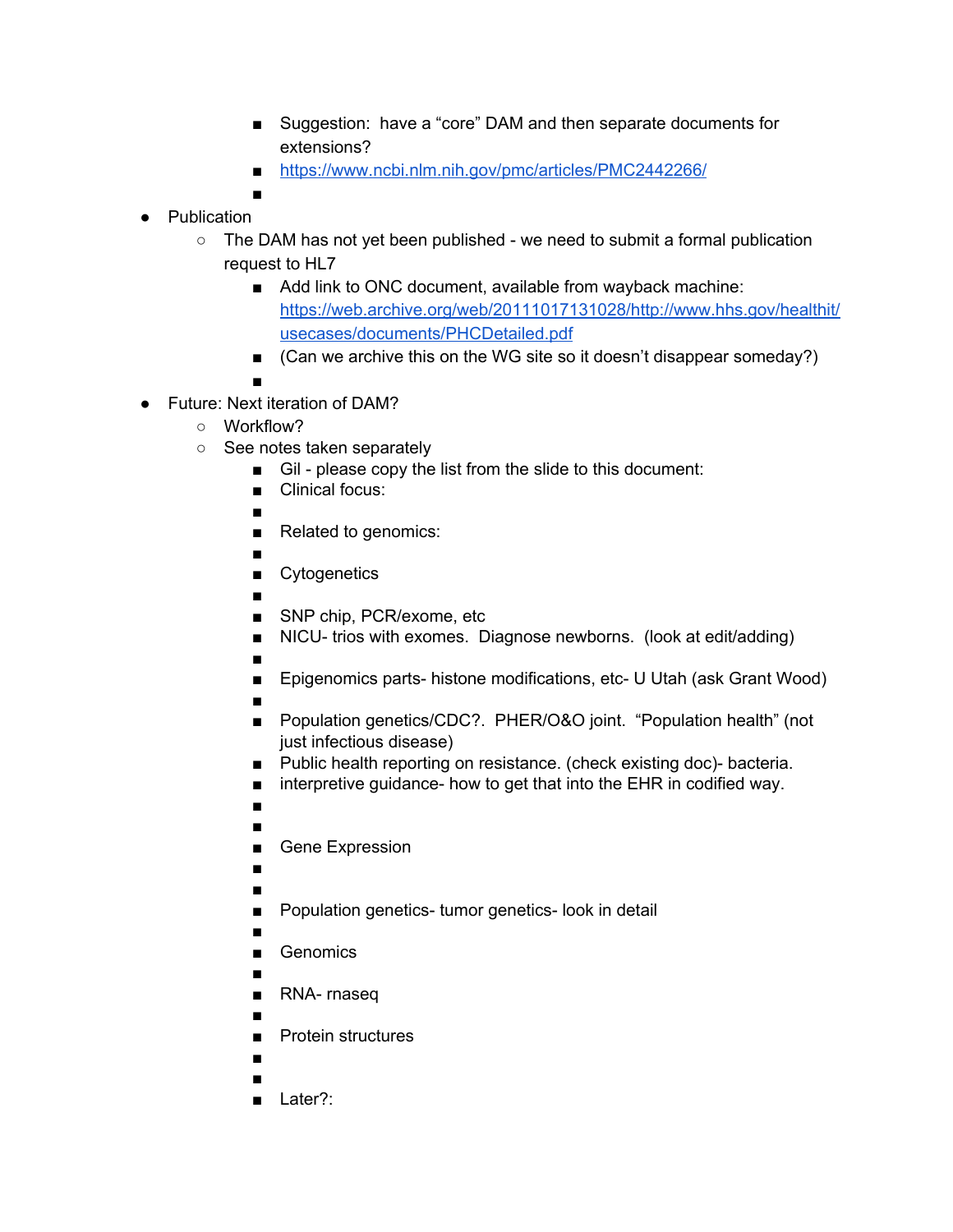- Suggestion: have a "core" DAM and then separate documents for extensions?
- <https://www.ncbi.nlm.nih.gov/pmc/articles/PMC2442266/>
- ■
- Publication
	- $\circ$  The DAM has not yet been published we need to submit a formal publication request to HL7
		- Add link to ONC document, available from wayback machine: [https://web.archive.org/web/20111017131028/http://www.hhs.gov/healthit/](https://web.archive.org/web/20111017131028/http://www.hhs.gov/healthit/usecases/documents/PHCDetailed.pdf) [usecases/documents/PHCDetailed.pdf](https://web.archive.org/web/20111017131028/http://www.hhs.gov/healthit/usecases/documents/PHCDetailed.pdf)
		- (Can we archive this on the WG site so it doesn't disappear someday?)

■

- Future: Next iteration of DAM?
	- Workflow?
	- See notes taken separately
		- Gil please copy the list from the slide to this document:
		- Clinical focus:
		- ■
		- Related to genomics:
		- ■
		- Cytogenetics
		- ■
		- SNP chip, PCR/exome, etc
		- NICU- trios with exomes. Diagnose newborns. (look at edit/adding)
		- ■
		- Epigenomics parts- histone modifications, etc- U Utah (ask Grant Wood)
		- ■
		- Population genetics/CDC?. PHER/O&O joint. "Population health" (not just infectious disease)
		- Public health reporting on resistance. (check existing doc)- bacteria.
		- interpretive guidance- how to get that into the EHR in codified way.
		- ■
		- ■
		- Gene Expression
		- ■
		- ■
		- Population genetics- tumor genetics- look in detail
		- ■
		- Genomics
		- ■ RNA- rnaseq
		- ■
		- Protein structures
		- ■
		- ■
		- Later?: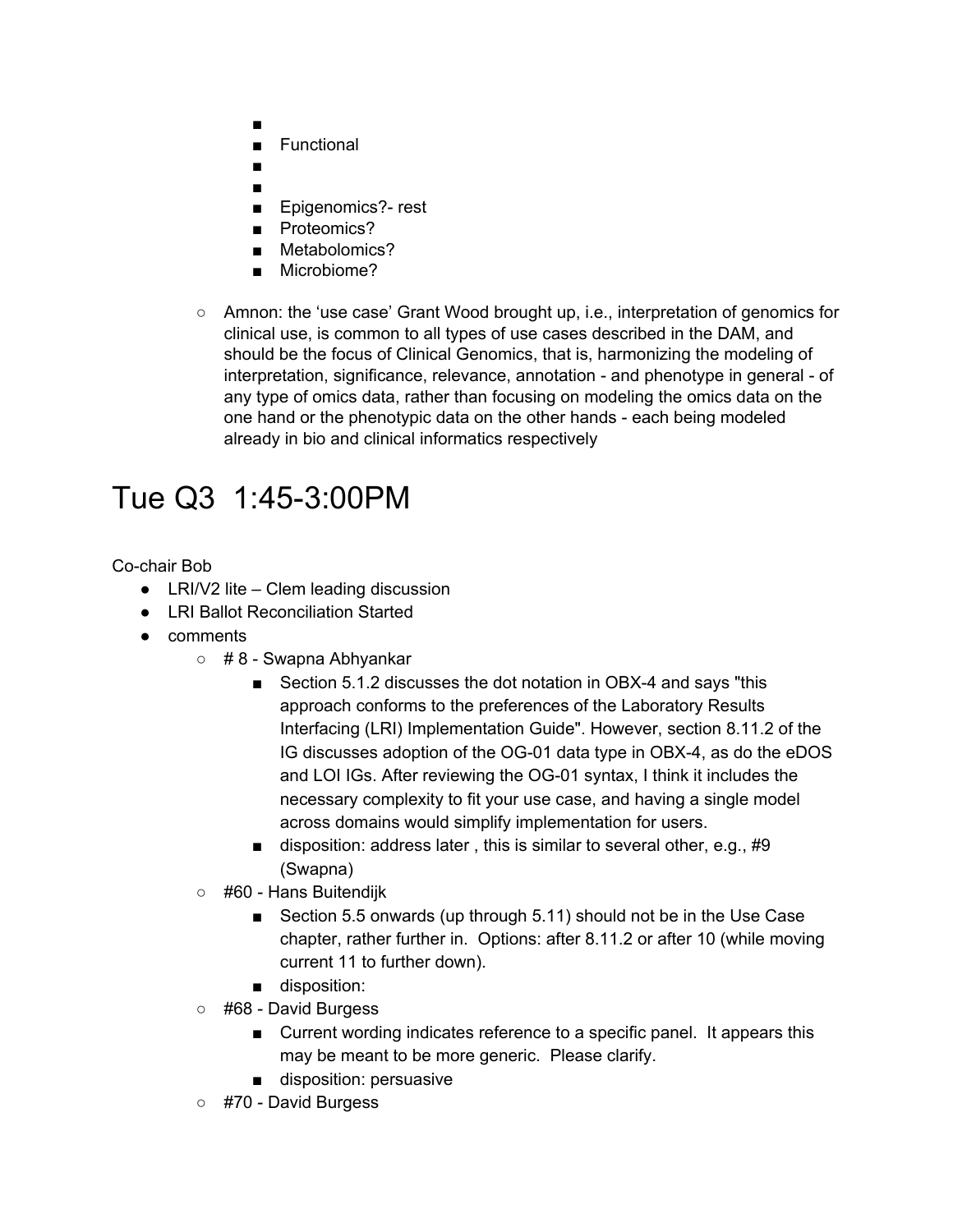- ■
- **Functional**
- ■
- ■
- Epigenomics?- rest
- Proteomics?
- Metabolomics?
- Microbiome?
- Amnon: the 'use case' Grant Wood brought up, i.e., interpretation of genomics for clinical use, is common to all types of use cases described in the DAM, and should be the focus of Clinical Genomics, that is, harmonizing the modeling of interpretation, significance, relevance, annotation - and phenotype in general - of any type of omics data, rather than focusing on modeling the omics data on the one hand or the phenotypic data on the other hands - each being modeled already in bio and clinical informatics respectively

# Tue Q3 1:45-3:00PM

Co-chair Bob

- LRI/V2 lite Clem leading discussion
- LRI Ballot Reconciliation Started
- comments
	- $\circ$  # 8 Swapna Abhyankar
		- Section 5.1.2 discusses the dot notation in OBX-4 and says "this approach conforms to the preferences of the Laboratory Results Interfacing (LRI) Implementation Guide". However, section 8.11.2 of the IG discusses adoption of the OG-01 data type in OBX-4, as do the eDOS and LOI IGs. After reviewing the OG-01 syntax, I think it includes the necessary complexity to fit your use case, and having a single model across domains would simplify implementation for users.
		- disposition: address later, this is similar to several other, e.g., #9 (Swapna)
	- #60 Hans Buitendijk
		- Section 5.5 onwards (up through 5.11) should not be in the Use Case chapter, rather further in. Options: after 8.11.2 or after 10 (while moving current 11 to further down).
		- disposition:
	- #68 David Burgess
		- Current wording indicates reference to a specific panel. It appears this may be meant to be more generic. Please clarify.
		- disposition: persuasive
	- #70 David Burgess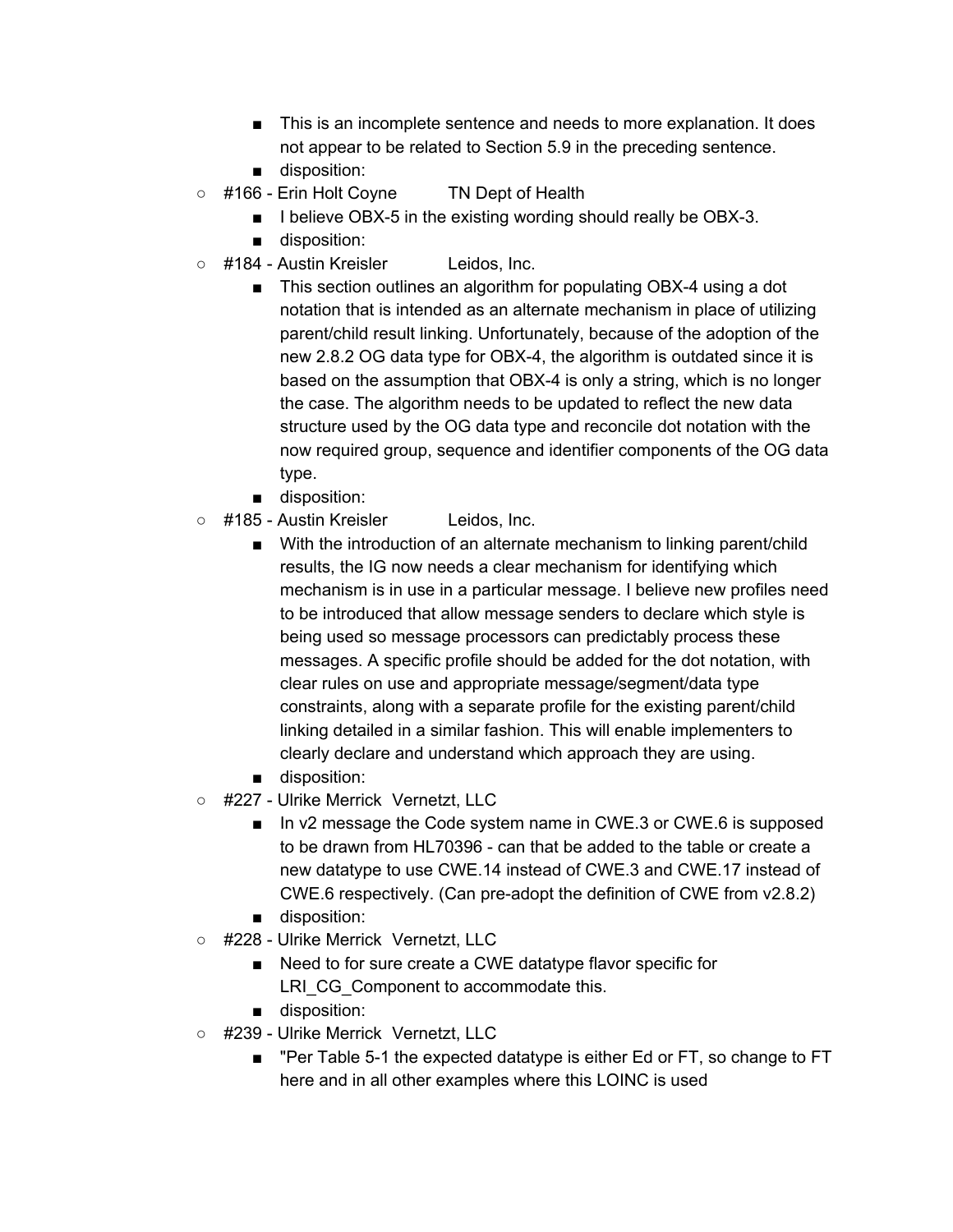- This is an incomplete sentence and needs to more explanation. It does not appear to be related to Section 5.9 in the preceding sentence.
- disposition:
- #166 Erin Holt Coyne TN Dept of Health
	- I believe OBX-5 in the existing wording should really be OBX-3.
	- disposition:
- #184 Austin Kreisler Leidos, Inc.
	- This section outlines an algorithm for populating OBX-4 using a dot notation that is intended as an alternate mechanism in place of utilizing parent/child result linking. Unfortunately, because of the adoption of the new 2.8.2 OG data type for OBX-4, the algorithm is outdated since it is based on the assumption that OBX-4 is only a string, which is no longer the case. The algorithm needs to be updated to reflect the new data structure used by the OG data type and reconcile dot notation with the now required group, sequence and identifier components of the OG data type.
	- disposition:
- #185 Austin Kreisler Leidos, Inc.
	- With the introduction of an alternate mechanism to linking parent/child results, the IG now needs a clear mechanism for identifying which mechanism is in use in a particular message. I believe new profiles need to be introduced that allow message senders to declare which style is being used so message processors can predictably process these messages. A specific profile should be added for the dot notation, with clear rules on use and appropriate message/segment/data type constraints, along with a separate profile for the existing parent/child linking detailed in a similar fashion. This will enable implementers to clearly declare and understand which approach they are using.
	- disposition:
- #227 Ulrike Merrick Vernetzt, LLC
	- In v2 message the Code system name in CWE.3 or CWE.6 is supposed to be drawn from HL70396 - can that be added to the table or create a new datatype to use CWE.14 instead of CWE.3 and CWE.17 instead of CWE.6 respectively. (Can pre-adopt the definition of CWE from v2.8.2)
	- disposition:
- #228 Ulrike Merrick Vernetzt, LLC
	- Need to for sure create a CWE datatype flavor specific for LRI CG Component to accommodate this.
	- disposition:
- #239 Ulrike Merrick Vernetzt, LLC
	- "Per Table 5-1 the expected datatype is either Ed or FT, so change to FT here and in all other examples where this LOINC is used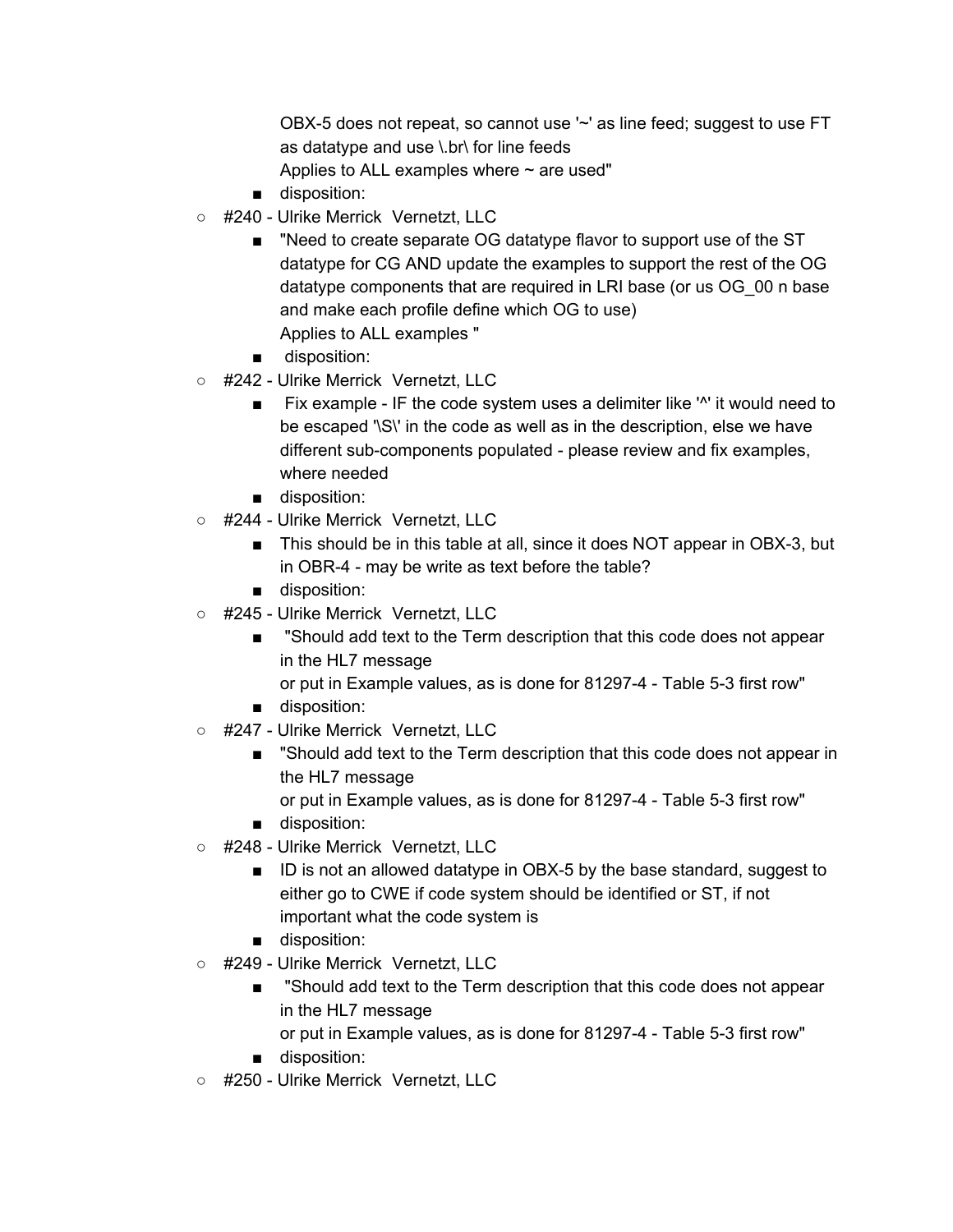OBX-5 does not repeat, so cannot use '~' as line feed; suggest to use FT as datatype and use \.br\ for line feeds Applies to ALL examples where  $\sim$  are used"

- disposition:
- #240 Ulrike Merrick Vernetzt, LLC
	- "Need to create separate OG datatype flavor to support use of the ST datatype for CG AND update the examples to support the rest of the OG datatype components that are required in LRI base (or us OG 00 n base and make each profile define which OG to use) Applies to ALL examples "
	- disposition:
- #242 Ulrike Merrick Vernetzt, LLC
	- Fix example IF the code system uses a delimiter like '<sup>\*'</sup> it would need to be escaped '\S\' in the code as well as in the description, else we have different sub-components populated - please review and fix examples, where needed
	- disposition:
- #244 Ulrike Merrick Vernetzt, LLC
	- This should be in this table at all, since it does NOT appear in OBX-3, but in OBR-4 - may be write as text before the table?
	- disposition:
- #245 Ulrike Merrick Vernetzt, LLC
	- "Should add text to the Term description that this code does not appear in the HL7 message
		- or put in Example values, as is done for 81297-4 Table 5-3 first row"
	- disposition:
- #247 Ulrike Merrick Vernetzt, LLC
	- "Should add text to the Term description that this code does not appear in the HL7 message

or put in Example values, as is done for 81297-4 - Table 5-3 first row" ■ disposition:

- #248 Ulrike Merrick Vernetzt, LLC
	- ID is not an allowed datatype in OBX-5 by the base standard, suggest to either go to CWE if code system should be identified or ST, if not important what the code system is
	- disposition:
- #249 Ulrike Merrick Vernetzt, LLC
	- "Should add text to the Term description that this code does not appear in the HL7 message

or put in Example values, as is done for 81297-4 - Table 5-3 first row"

- disposition:
- #250 Ulrike Merrick Vernetzt, LLC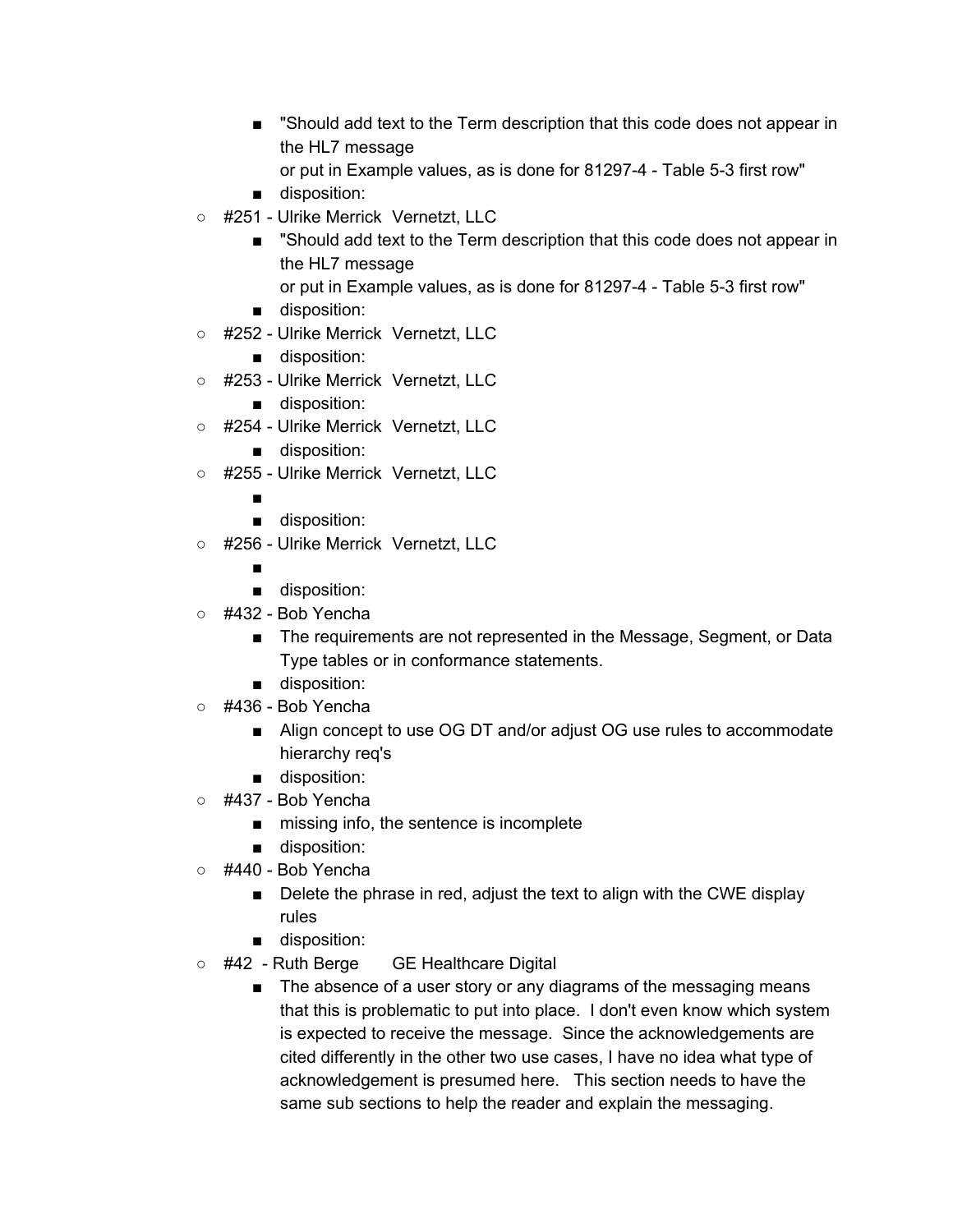- "Should add text to the Term description that this code does not appear in the HL7 message
	- or put in Example values, as is done for 81297-4 Table 5-3 first row"
- disposition:
- #251 Ulrike Merrick Vernetzt, LLC
	- "Should add text to the Term description that this code does not appear in the HL7 message or put in Example values, as is done for 81297-4 - Table 5-3 first row"
	- disposition:
- #252 Ulrike Merrick Vernetzt, LLC
	- disposition:
- #253 Ulrike Merrick Vernetzt, LLC
	- disposition:
- #254 Ulrike Merrick Vernetzt, LLC
	- disposition:
- #255 Ulrike Merrick Vernetzt, LLC
	- ■
	- disposition:
- #256 Ulrike Merrick Vernetzt, LLC
	- ■
	- disposition:
- #432 Bob Yencha
	- The requirements are not represented in the Message, Segment, or Data Type tables or in conformance statements.
	- disposition:
- #436 Bob Yencha
	- Align concept to use OG DT and/or adjust OG use rules to accommodate hierarchy req's
	- disposition:
- #437 Bob Yencha
	- missing info, the sentence is incomplete
	- disposition:
- #440 Bob Yencha
	- Delete the phrase in red, adjust the text to align with the CWE display rules
	- disposition:
- #42 Ruth Berge GE Healthcare Digital
	- The absence of a user story or any diagrams of the messaging means that this is problematic to put into place. I don't even know which system is expected to receive the message. Since the acknowledgements are cited differently in the other two use cases, I have no idea what type of acknowledgement is presumed here. This section needs to have the same sub sections to help the reader and explain the messaging.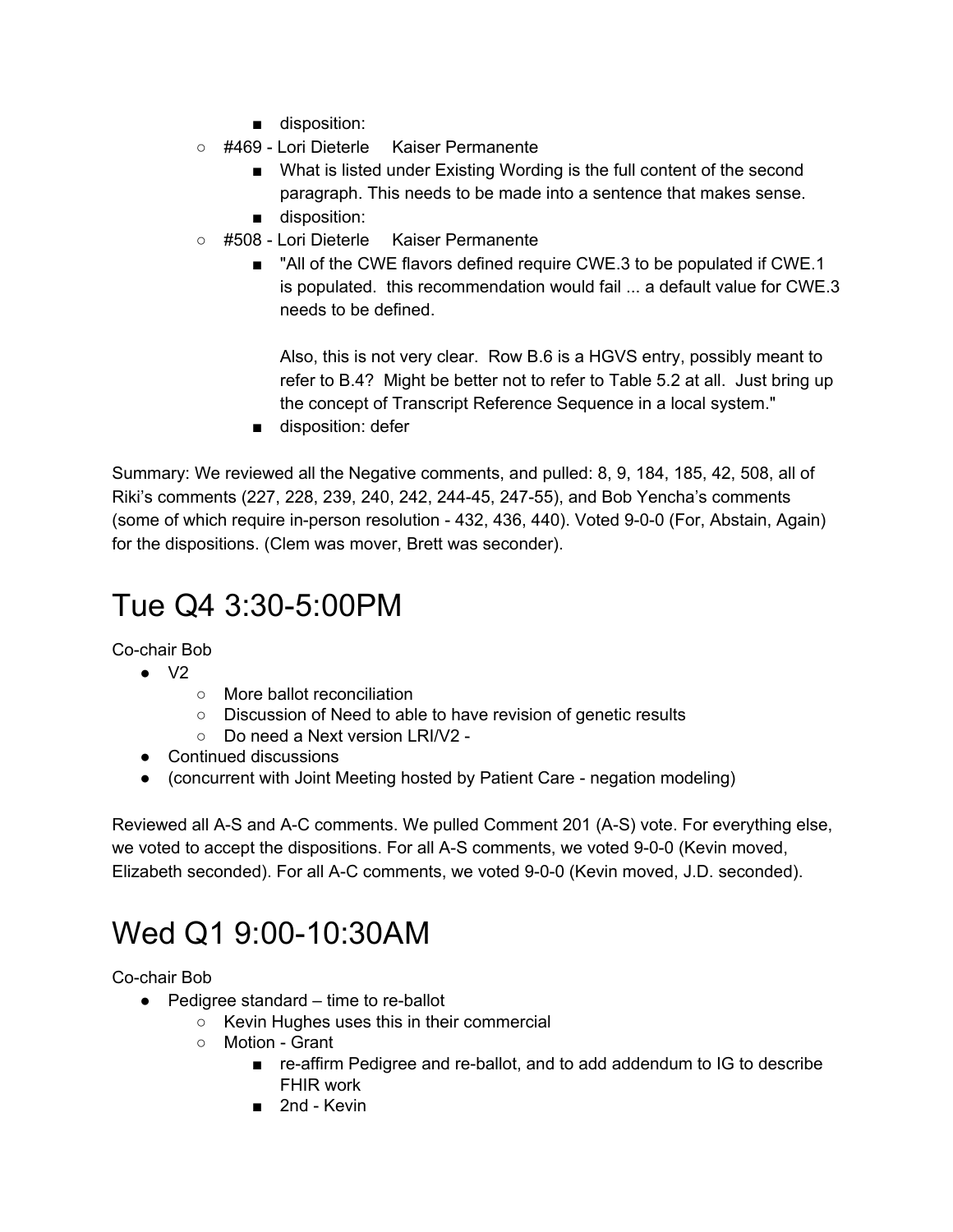- disposition:
- #469 Lori Dieterle Kaiser Permanente
	- What is listed under Existing Wording is the full content of the second paragraph. This needs to be made into a sentence that makes sense.
	- disposition:
- #508 Lori Dieterle Kaiser Permanente
	- "All of the CWE flavors defined require CWE.3 to be populated if CWE.1 is populated. this recommendation would fail ... a default value for CWE.3 needs to be defined.

Also, this is not very clear. Row B.6 is a HGVS entry, possibly meant to refer to B.4? Might be better not to refer to Table 5.2 at all. Just bring up the concept of Transcript Reference Sequence in a local system."

■ disposition: defer

Summary: We reviewed all the Negative comments, and pulled: 8, 9, 184, 185, 42, 508, all of Riki's comments (227, 228, 239, 240, 242, 244-45, 247-55), and Bob Yencha's comments (some of which require in-person resolution - 432, 436, 440). Voted 9-0-0 (For, Abstain, Again) for the dispositions. (Clem was mover, Brett was seconder).

# Tue Q4 3:30-5:00PM

Co-chair Bob

- $\bullet$  V<sub>2</sub>
	- More ballot reconciliation
	- Discussion of Need to able to have revision of genetic results
	- Do need a Next version LRI/V2 -
- Continued discussions
- (concurrent with Joint Meeting hosted by Patient Care negation modeling)

Reviewed all A-S and A-C comments. We pulled Comment 201 (A-S) vote. For everything else, we voted to accept the dispositions. For all A-S comments, we voted 9-0-0 (Kevin moved, Elizabeth seconded). For all A-C comments, we voted 9-0-0 (Kevin moved, J.D. seconded).

# Wed Q1 9:00-10:30AM

Co-chair Bob

- Pedigree standard time to re-ballot
	- Kevin Hughes uses this in their commercial
	- Motion Grant
		- re-affirm Pedigree and re-ballot, and to add addendum to IG to describe FHIR work
		- 2nd Kevin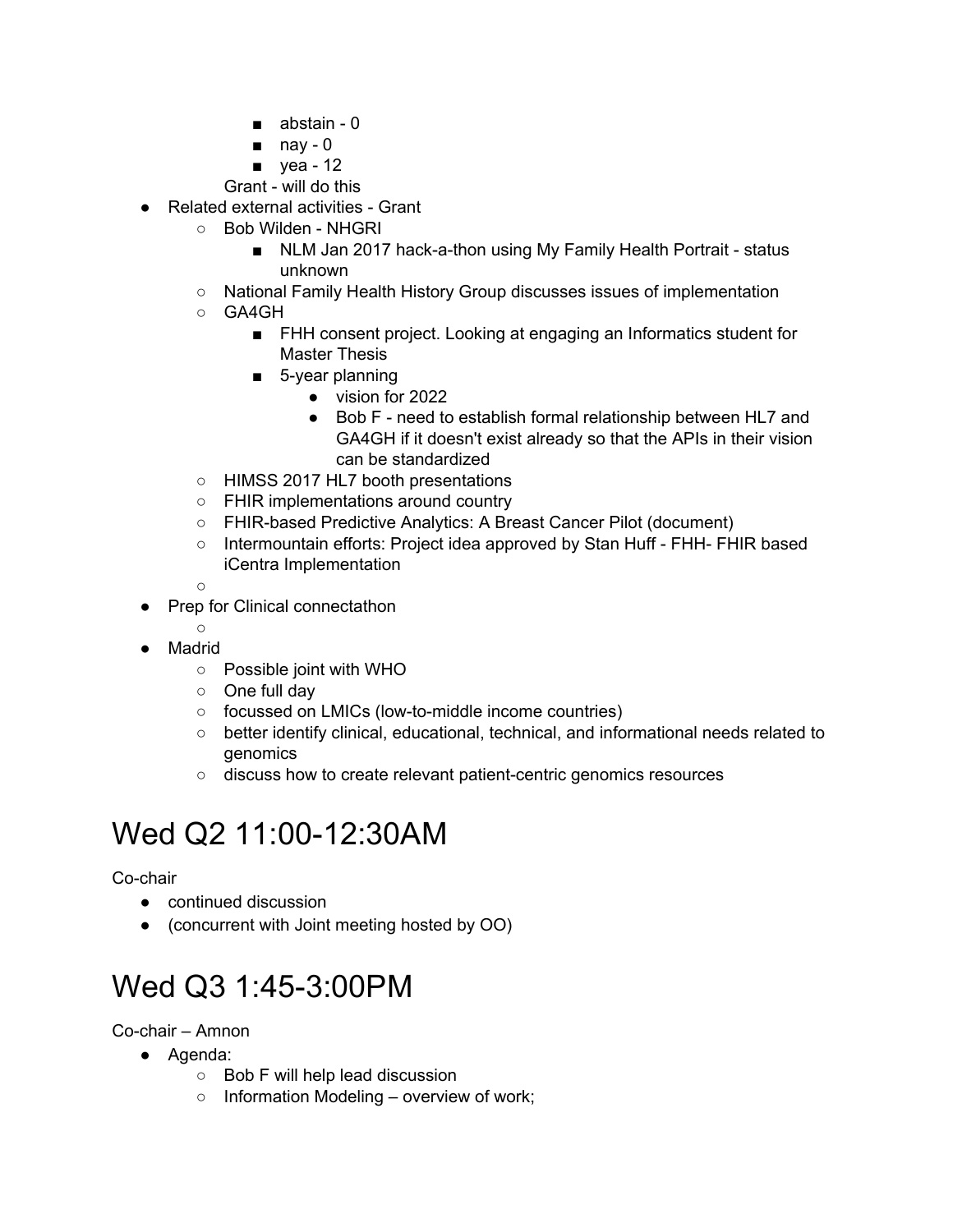- abstain 0
- $\blacksquare$  nay 0
- yea 12
- Grant will do this
- Related external activities Grant
	- Bob Wilden NHGRI
		- NLM Jan 2017 hack-a-thon using My Family Health Portrait status unknown
	- National Family Health History Group discusses issues of implementation
	- GA4GH
		- FHH consent project. Looking at engaging an Informatics student for Master Thesis
		- 5-year planning
			- vision for 2022
			- Bob F need to establish formal relationship between HL7 and GA4GH if it doesn't exist already so that the APIs in their vision can be standardized
	- HIMSS 2017 HL7 booth presentations
	- FHIR implementations around country
	- FHIR-based Predictive Analytics: A Breast Cancer Pilot (document)
	- Intermountain efforts: Project idea approved by Stan Huff FHH- FHIR based iCentra Implementation
	- $\Omega$
- Prep for Clinical connectathon
	- $\Omega$
- Madrid
	- Possible joint with WHO
	- One full day
	- focussed on LMICs (low-to-middle income countries)
	- better identify clinical, educational, technical, and informational needs related to genomics
	- discuss how to create relevant patient-centric genomics resources

# Wed Q2 11:00-12:30AM

Co-chair

- continued discussion
- (concurrent with Joint meeting hosted by OO)

# Wed Q3 1:45-3:00PM

Co-chair – Amnon

- Agenda:
	- Bob F will help lead discussion
	- $\circ$  Information Modeling overview of work;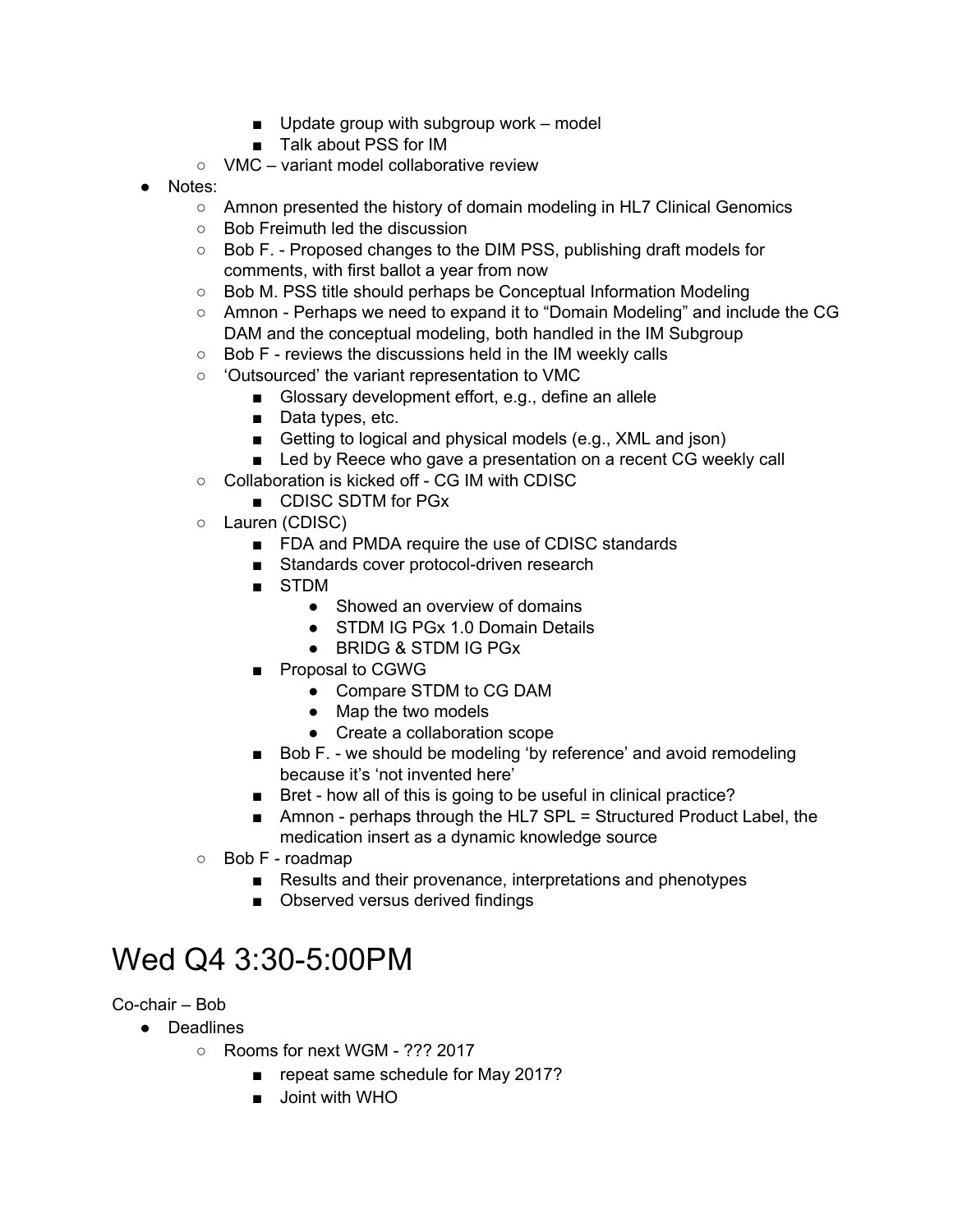- $\Box$  Update group with subgroup work model
- Talk about PSS for IM
- VMC variant model collaborative review
- Notes:
	- Amnon presented the history of domain modeling in HL7 Clinical Genomics
	- Bob Freimuth led the discussion
	- Bob F. Proposed changes to the DIM PSS, publishing draft models for comments, with first ballot a year from now
	- Bob M. PSS title should perhaps be Conceptual Information Modeling
	- Amnon Perhaps we need to expand it to "Domain Modeling" and include the CG DAM and the conceptual modeling, both handled in the IM Subgroup
	- Bob F reviews the discussions held in the IM weekly calls
	- 'Outsourced' the variant representation to VMC
		- Glossary development effort, e.g., define an allele
		- Data types, etc.
		- Getting to logical and physical models (e.g., XML and json)
		- Led by Reece who gave a presentation on a recent CG weekly call
	- Collaboration is kicked off CG IM with CDISC
		- CDISC SDTM for PGx
	- Lauren (CDISC)
		- FDA and PMDA require the use of CDISC standards
		- Standards cover protocol-driven research
		- STDM
			- Showed an overview of domains
			- STDM IG PGx 1.0 Domain Details
			- BRIDG & STDM IG PGx
		- Proposal to CGWG
			- Compare STDM to CG DAM
			- Map the two models
			- Create a collaboration scope
		- Bob F. we should be modeling 'by reference' and avoid remodeling because it's 'not invented here'
		- Bret how all of this is going to be useful in clinical practice?
		- Amnon perhaps through the HL7 SPL = Structured Product Label, the medication insert as a dynamic knowledge source
	- Bob F roadmap
		- Results and their provenance, interpretations and phenotypes
		- Observed versus derived findings

### <span id="page-15-0"></span>Wed Q4 3:30-5:00PM

Co-chair – Bob

- Deadlines
	- Rooms for next WGM ??? 2017
		- repeat same schedule for May 2017?
		- Joint with WHO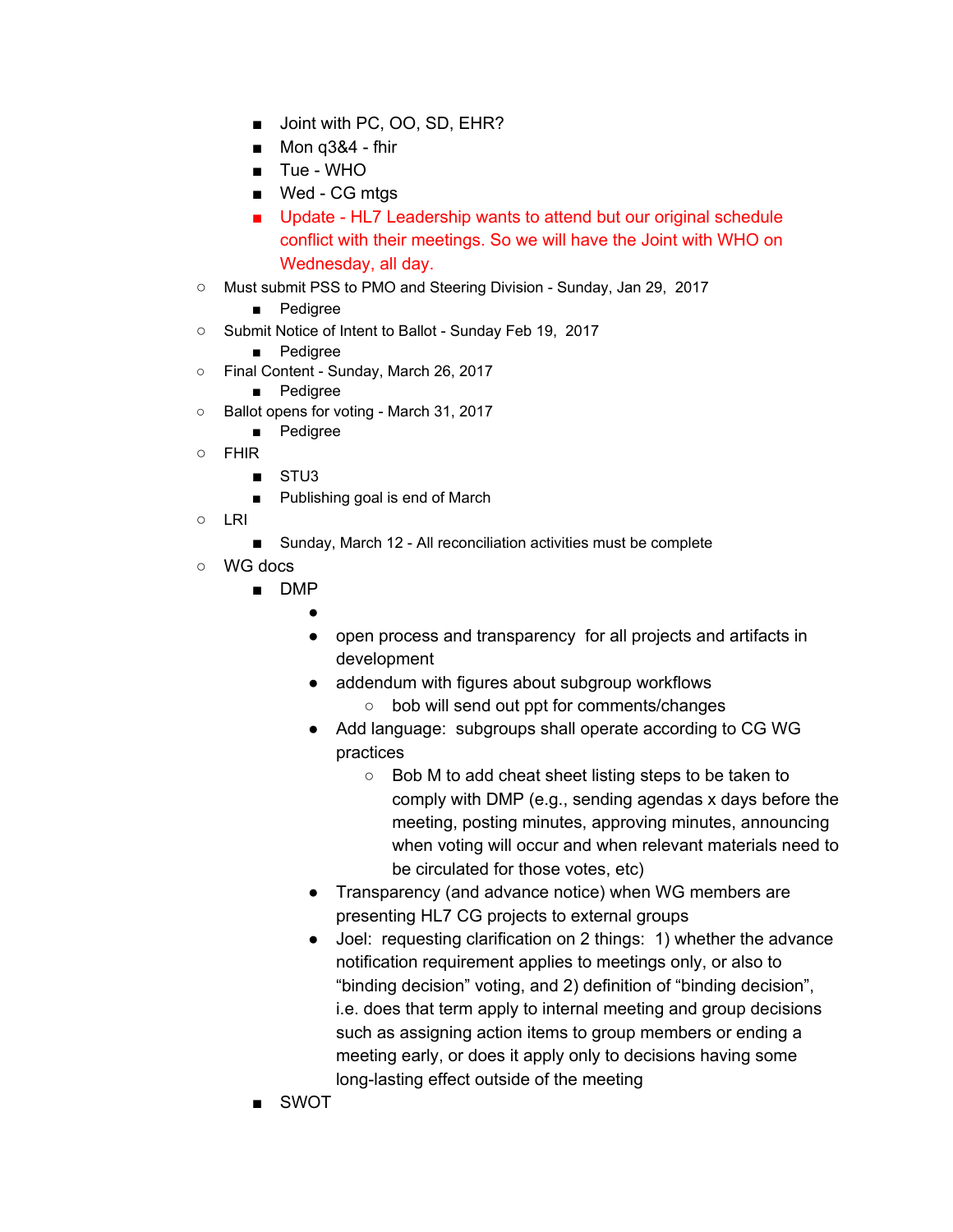- Joint with PC, OO, SD, EHR?
- Mon q3&4 fhir
- Tue WHO
- Wed CG mtgs
- Update HL7 Leadership wants to attend but our original schedule conflict with their meetings. So we will have the Joint with WHO on Wednesday, all day.
- Must submit PSS to PMO and Steering Division Sunday, Jan 29, 2017
	- Pedigree
- Submit Notice of Intent to Ballot Sunday Feb 19, 2017
	- Pedigree
- Final Content Sunday, March 26, 2017
	- Pedigree
- Ballot opens for voting March 31, 2017
	- Pedigree
- FHIR
	- STU<sub>3</sub>
	- Publishing goal is end of March
- LRI
	- Sunday, March 12 All reconciliation activities must be complete
- WG docs
	- DMP
		- - open process and transparency for all projects and artifacts in development
			- addendum with figures about subgroup workflows
				- bob will send out ppt for comments/changes
			- Add language: subgroups shall operate according to CG WG practices
				- Bob M to add cheat sheet listing steps to be taken to comply with DMP (e.g., sending agendas x days before the meeting, posting minutes, approving minutes, announcing when voting will occur and when relevant materials need to be circulated for those votes, etc)
			- Transparency (and advance notice) when WG members are presenting HL7 CG projects to external groups
			- Joel: requesting clarification on 2 things: 1) whether the advance notification requirement applies to meetings only, or also to "binding decision" voting, and 2) definition of "binding decision", i.e. does that term apply to internal meeting and group decisions such as assigning action items to group members or ending a meeting early, or does it apply only to decisions having some long-lasting effect outside of the meeting
	- **SWOT**